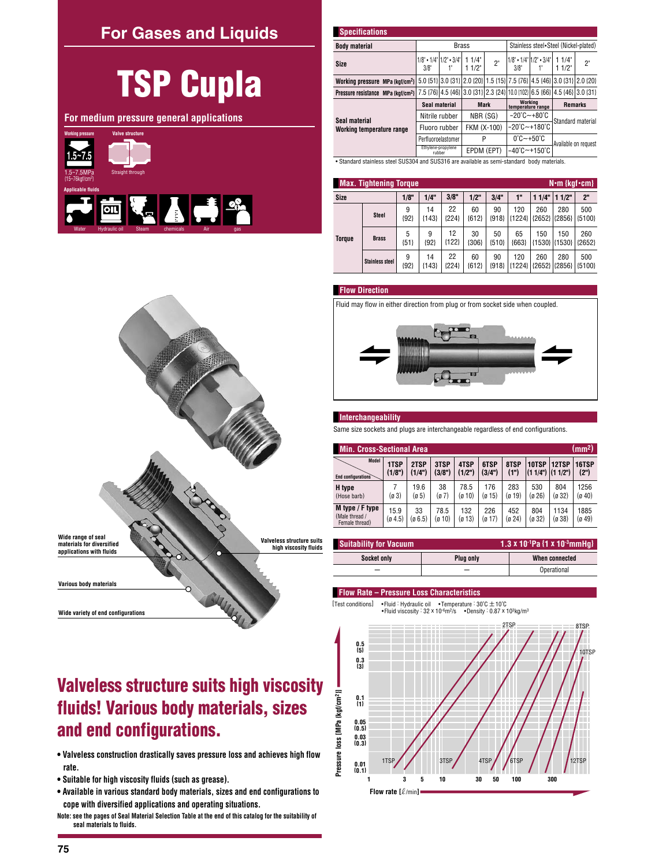## **For Gases and Liquids**

# **TSP Cupla**

For medium pressure general applications



| <b>Specifications</b>                                                                                                    |                                                 |              |                                         |             |                                          |                                                                         |    |
|--------------------------------------------------------------------------------------------------------------------------|-------------------------------------------------|--------------|-----------------------------------------|-------------|------------------------------------------|-------------------------------------------------------------------------|----|
| <b>Body material</b>                                                                                                     |                                                 | <b>Brass</b> | Stainless steel • Steel (Nickel-plated) |             |                                          |                                                                         |    |
| Size                                                                                                                     | $1/8$ " • $1/4$ " $1/2$ " • $3/4$ " $ $<br>3/8" |              | 11/4"<br>11/2"                          | 2"          | $1/8$ • $1/4$ $1/2$ • $3/4$  <br>$3/8$ " | 11/4<br>$11/2$ "                                                        | 2" |
| Working pressure MPa {kgf/cm <sup>2}</sup>                                                                               |                                                 |              |                                         |             |                                          | 5.0 (51) 3.0 (31) 2.0 (20) 1.5 (15) 7.5 (76) 4.5 (46) 3.0 (31) 2.0 (20) |    |
| Pressure resistance MPa (kgf/cm <sup>2</sup> ) 7.5 {76} 4.5 {46} 3.0 {31} 2.3 {24} 10.0 {102} 6.5 {66} 4.5 {46} 3.0 {31} |                                                 |              |                                         |             |                                          |                                                                         |    |
|                                                                                                                          | Seal material                                   |              |                                         | <b>Mark</b> | Working<br>temperature range             | <b>Remarks</b>                                                          |    |
| Seal material                                                                                                            | Nitrile rubber                                  |              |                                         | NBR (SG)    | $-20^{\circ}$ C $-+80^{\circ}$ C         | Standard material                                                       |    |
| Working temperature range                                                                                                | Fluoro rubber                                   |              | FKM (X-100)                             |             | $-20^{\circ}$ C $-+180^{\circ}$ C        |                                                                         |    |
|                                                                                                                          | Perfluoroelastomer                              |              | P                                       |             | $0^\circ$ C $\sim$ +50 $^\circ$ C        | Available on request                                                    |    |
|                                                                                                                          | Ethylene-propylene<br>rubber                    |              |                                         | EPDM (EPT)  | $-40^{\circ}$ C $-+150^{\circ}$ C        |                                                                         |    |
| • Standard stainless steel SUS304 and SUS316 are available as semi-standard body materials.                              |                                                 |              |                                         |             |                                          |                                                                         |    |

|               | <b>Max. Tightening Torque</b><br>$N \cdot m$ {kgf $\cdot$ cm} |             |               |               |               |               |                 |                 |                      |                |  |  |  |
|---------------|---------------------------------------------------------------|-------------|---------------|---------------|---------------|---------------|-----------------|-----------------|----------------------|----------------|--|--|--|
| Size          |                                                               | 1/8"        | 1/4"          | 3/8"          | 1/2"          | 3/4"          | 1"              | 11/4"           | 11/2"                | 2 <sup>n</sup> |  |  |  |
| <b>Torque</b> | <b>Steel</b>                                                  | 9<br>${92}$ | 14<br>${143}$ | 22<br> 224    | 60<br>${612}$ | 90<br>${918}$ | 120<br>${1224}$ | 260<br>${2652}$ | 280<br>${2856}$      | 500<br>{5100}  |  |  |  |
|               | <b>Brass</b>                                                  | 5<br>${51}$ | 9<br>1921     | 12<br>${122}$ | 30<br>${306}$ | 50<br>${510}$ | 65<br>${663}$   | 150             | 150<br>{1530} {1530} | 260<br>{2652}  |  |  |  |
|               | <b>Stainless steel</b>                                        | 9<br>${92}$ | 14<br>${143}$ | 22<br> 224    | 60<br>${612}$ | 90<br>${918}$ | 120<br>${1224}$ | 260<br>{2652}   | 280<br>${2856}$      | 500<br>{5100}  |  |  |  |

## **Flow Direction**





#### Interchangeability

Same size sockets and plugs are interchangeable regardless of end configurations.

| (mm <sup>2</sup> )<br><b>Min. Cross-Sectional Area</b> |                 |              |                |               |               |               |                     |                |                |  |  |  |
|--------------------------------------------------------|-----------------|--------------|----------------|---------------|---------------|---------------|---------------------|----------------|----------------|--|--|--|
| Model                                                  | 1TSP            | 2TSP         | 3TSP           | 4TSP          | 6TSP          | 8TSP          | 10TSP               | 12TSP          | 16TSP          |  |  |  |
| End configurations                                     | (1/8")          | (1/4")       | (3/8")         | (1/2")        | (3/4")        | (1")          | $(11/4")$ $(11/2")$ |                | (2")           |  |  |  |
| H type                                                 | (ø 3)           | 19.6         | 38             | 78.5          | 176           | 283           | 530                 | 804            | 1256           |  |  |  |
| (Hose barb)                                            |                 | (ø 5)        | (ø 7)          | (ø 10)        | (ø 15)        | (g 19)        | (ø 26)              | (ø 32)         | (g 40)         |  |  |  |
| M type / F type<br>(Male thread /<br>Female thread)    | 15.9<br>(0.4.5) | 33<br>g(6.5) | 78.5<br>(ø 10) | 132<br>(ø 13) | 226<br>(ø 17) | 452<br>(ø 24) | 804<br>(ø 32)       | 1134<br>(ø 38) | 1885<br>(0.49) |  |  |  |

| <b>Suitability for Vacuum</b> | 1.3 x 10 <sup>-1</sup> Pa $\{1 \times 10^{-3}$ mmHq} |                |  |  |  |  |  |
|-------------------------------|------------------------------------------------------|----------------|--|--|--|--|--|
| Socket only                   | Plug only                                            | When connected |  |  |  |  |  |
|                               |                                                      | Operational    |  |  |  |  |  |

#### **Flow Rate - Pressure Loss Characteristics**

• Fluid : Hydraulic oil • Temperature : 30°C ± 10°C [Test conditions]  $\bullet$ Density: 0.87 x 10<sup>3</sup>kg/m<sup>3</sup> . Fluid viscosity :  $32 \times 10^{6}$ m<sup>2</sup>/s





# **Valveless structure suits high viscosity** fluids! Various body materials, sizes and end configurations.

- . Valveless construction drastically saves pressure loss and achieves high flow rate.
- Suitable for high viscosity fluids (such as grease).
- . Available in various standard body materials, sizes and end configurations to cope with diversified applications and operating situations.
- Note: see the pages of Seal Material Selection Table at the end of this catalog for the suitability of seal materials to fluids.